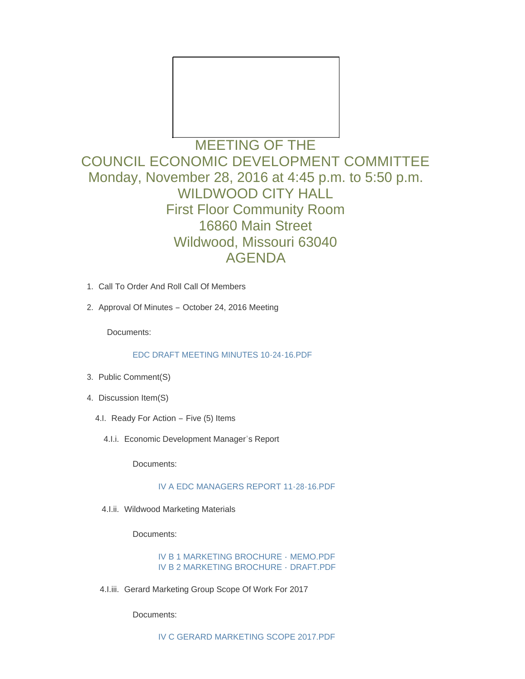

# MEETING OF THE COUNCIL ECONOMIC DEVELOPMENT COMMITTEE Monday, November 28, 2016 at 4:45 p.m. to 5:50 p.m. WILDWOOD CITY HALL First Floor Community Room 16860 Main Street Wildwood, Missouri 63040 AGENDA

- 1. Call To Order And Roll Call Of Members
- 2. Approval Of Minutes October 24, 2016 Meeting

Documents:

[EDC DRAFT MEETING MINUTES 10-24-16.PDF](http://mo-wildwood.civicplus.com/AgendaCenter/ViewFile/Item/9031?fileID=13310)

- 3. Public Comment(S)
- 4. Discussion Item(S)
	- 4.I. Ready For Action Five (5) Items
		- 4.I.i. Economic Development Manager's Report

Documents:

[IV A EDC MANAGERS REPORT 11-28-16.PDF](http://mo-wildwood.civicplus.com/AgendaCenter/ViewFile/Item/9035?fileID=13301)

4.I.ii. Wildwood Marketing Materials

Documents:

[IV B 1 MARKETING BROCHURE -](http://mo-wildwood.civicplus.com/AgendaCenter/ViewFile/Item/9036?fileID=13302) MEMO.PDF [IV B 2 MARKETING BROCHURE -](http://mo-wildwood.civicplus.com/AgendaCenter/ViewFile/Item/9036?fileID=13303) DRAFT.PDF

4.I.iii. Gerard Marketing Group Scope Of Work For 2017

Documents: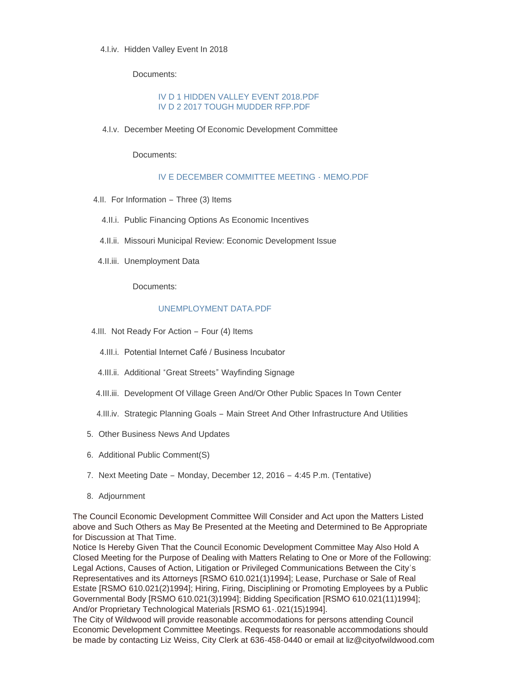## 4.I.iv. Hidden Valley Event In 2018

Documents:

### [IV D 1 HIDDEN VALLEY EVENT 2018.PDF](http://mo-wildwood.civicplus.com/AgendaCenter/ViewFile/Item/9038?fileID=13304) [IV D 2 2017 TOUGH MUDDER RFP.PDF](http://mo-wildwood.civicplus.com/AgendaCenter/ViewFile/Item/9038?fileID=13306)

4.I.v. December Meeting Of Economic Development Committee

Documents:

### [IV E DECEMBER COMMITTEE MEETING -](http://mo-wildwood.civicplus.com/AgendaCenter/ViewFile/Item/9039?fileID=13305) MEMO.PDF

- 4.II. For Information Three (3) Items
	- 4.II.i. Public Financing Options As Economic Incentives
	- 4.II.ii. Missouri Municipal Review: Economic Development Issue
- 4.II.iii. Unemployment Data

Documents:

### [UNEMPLOYMENT DATA.PDF](http://mo-wildwood.civicplus.com/AgendaCenter/ViewFile/Item/9043?fileID=13307)

- 4.III. Not Ready For Action Four (4) Items
	- 4.III.i. Potential Internet Café / Business Incubator
	- 4.III.ii. Additional "Great Streets" Wayfinding Signage
- 4.III.iii. Development Of Village Green And/Or Other Public Spaces In Town Center
- 4.III.iv. Strategic Planning Goals Main Street And Other Infrastructure And Utilities
- 5. Other Business News And Updates
- 6. Additional Public Comment(S)
- 7. Next Meeting Date Monday, December 12, 2016 4:45 P.m. (Tentative)
- 8. Adjournment

The Council Economic Development Committee Will Consider and Act upon the Matters Listed above and Such Others as May Be Presented at the Meeting and Determined to Be Appropriate for Discussion at That Time.

Notice Is Hereby Given That the Council Economic Development Committee May Also Hold A Closed Meeting for the Purpose of Dealing with Matters Relating to One or More of the Following: Legal Actions, Causes of Action, Litigation or Privileged Communications Between the City's Representatives and its Attorneys [RSMO 610.021(1)1994]; Lease, Purchase or Sale of Real Estate [RSMO 610.021(2)1994]; Hiring, Firing, Disciplining or Promoting Employees by a Public Governmental Body [RSMO 610.021(3)1994]; Bidding Specification [RSMO 610.021(11)1994]; And/or Proprietary Technological Materials [RSMO 61-.021(15)1994].

The City of Wildwood will provide reasonable accommodations for persons attending Council Economic Development Committee Meetings. Requests for reasonable accommodations should be made by contacting Liz Weiss, City Clerk at 636-458-0440 or email at liz@cityofwildwood.com